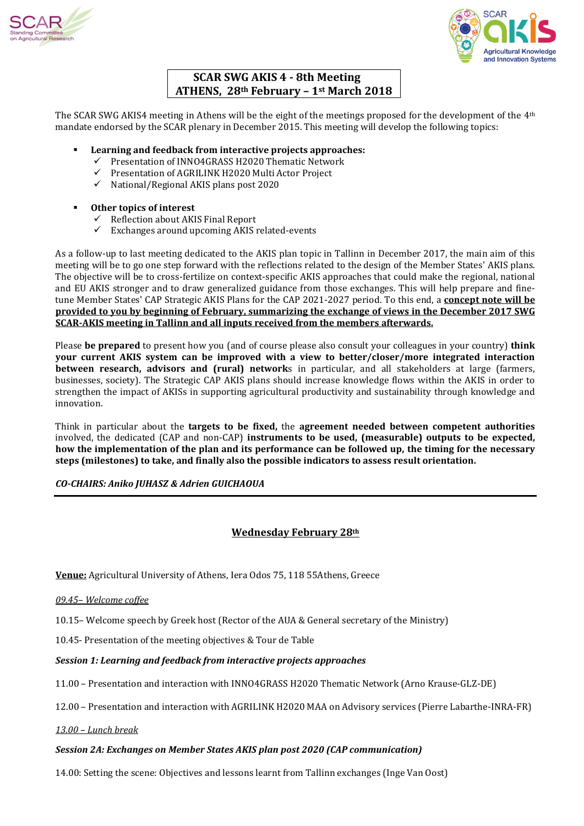



# **SCAR SWG AKIS 4 - 8th Meeting ATHENS, 28th February – 1st March 2018**

The SCAR SWG AKIS4 meeting in Athens will be the eight of the meetings proposed for the development of the 4th mandate endorsed by the SCAR plenary in December 2015. This meeting will develop the following topics:

- **Learning and feedback from interactive projects approaches:** 
	- $\checkmark$  Presentation of INNO4GRASS H2020 Thematic Network
	- $\checkmark$  Presentation of AGRILINK H2020 Multi Actor Project
	- National/Regional AKIS plans post 2020

# **Other topics of interest**

- $\checkmark$  Reflection about AKIS Final Report
- $\checkmark$  Exchanges around upcoming AKIS related-events

As a follow-up to last meeting dedicated to the AKIS plan topic in Tallinn in December 2017, the main aim of this meeting will be to go one step forward with the reflections related to the design of the Member States' AKIS plans. The objective will be to cross-fertilize on context-specific AKIS approaches that could make the regional, national and EU AKIS stronger and to draw generalized guidance from those exchanges. This will help prepare and finetune Member States' CAP Strategic AKIS Plans for the CAP 2021-2027 period. To this end, a **concept note will be provided to you by beginning of February, summarizing the exchange of views in the December 2017 SWG SCAR-AKIS meeting in Tallinn and all inputs received from the members afterwards.**

Please **be prepared** to present how you (and of course please also consult your colleagues in your country) **think your current AKIS system can be improved with a view to better/closer/more integrated interaction between research, advisors and (rural) network**s in particular, and all stakeholders at large (farmers, businesses, society). The Strategic CAP AKIS plans should increase knowledge flows within the AKIS in order to strengthen the impact of AKISs in supporting agricultural productivity and sustainability through knowledge and innovation.

Think in particular about the **targets to be fixed,** the **agreement needed between competent authorities** involved, the dedicated (CAP and non-CAP) **instruments to be used, (measurable) outputs to be expected, how the implementation of the plan and its performance can be followed up, the timing for the necessary steps (milestones) to take, and finally also the possible indicators to assess result orientation.**

*CO-CHAIRS: Aniko JUHASZ & Adrien GUICHAOUA* 

# **Wednesday February 28th**

**Venue:** Agricultural University of Athens, Iera Odos 75, 118 55Athens, Greece

*09.45– Welcome coffee*

10.15– Welcome speech by Greek host (Rector of the AUA & General secretary of the Ministry)

10.45- Presentation of the meeting objectives & Tour de Table

## *Session 1: Learning and feedback from interactive projects approaches*

11.00 – Presentation and interaction with INNO4GRASS H2020 Thematic Network (Arno Krause-GLZ-DE)

12.00 – Presentation and interaction with AGRILINK H2020 MAA on Advisory services (Pierre Labarthe-INRA-FR)

*13.00 – Lunch break*

## *Session 2A: Exchanges on Member States AKIS plan post 2020 (CAP communication)*

14.00: Setting the scene: Objectives and lessons learnt from Tallinn exchanges (Inge Van Oost)